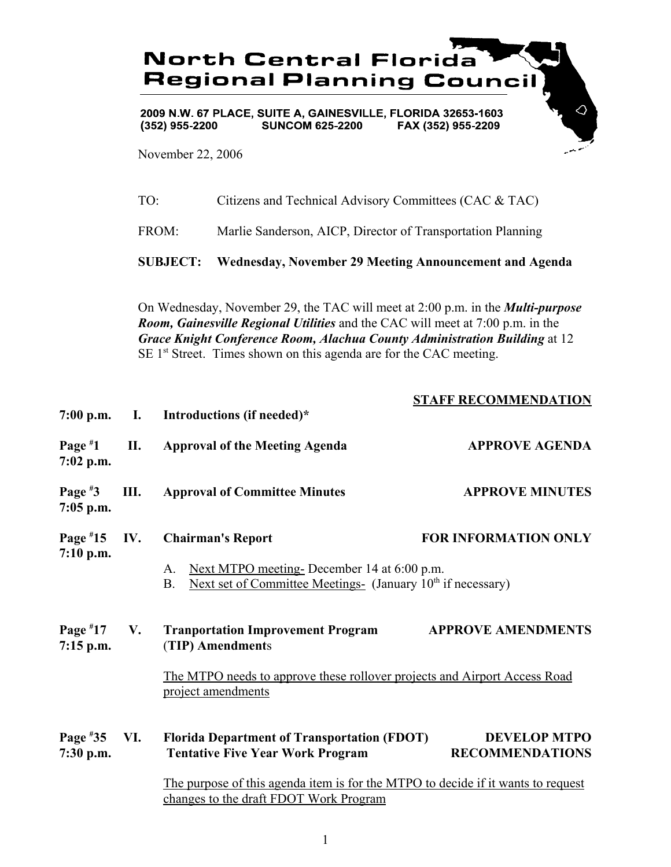

2009 N.W. 67 PLACE, SUITE A, GAINESVILLE, FLORIDA 32653-1603  $(352)$  955-2200 **SUNCOM 625-2200** FAX (352) 955-2209

November 22, 2006

|              | <b>SUBJECT:</b> Wednesday, November 29 Meeting Announcement and Agenda |
|--------------|------------------------------------------------------------------------|
| FROM:        | Marlie Sanderson, AICP, Director of Transportation Planning            |
| $TO^{\cdot}$ | Citizens and Technical Advisory Committees (CAC & TAC)                 |

On Wednesday, November 29, the TAC will meet at 2:00 p.m. in the *Multi-purpose Room, Gainesville Regional Utilities* and the CAC will meet at 7:00 p.m. in the *Grace Knight Conference Room, Alachua County Administration Building* at 12 SE 1<sup>st</sup> Street. Times shown on this agenda are for the CAC meeting.

|                           |           |                                                                                                                                          | <b>STAFF RECOMMENDATION</b>                   |
|---------------------------|-----------|------------------------------------------------------------------------------------------------------------------------------------------|-----------------------------------------------|
| $7:00$ p.m.               | I.        | Introductions (if needed)*                                                                                                               |                                               |
| Page $*1$<br>$7:02$ p.m.  | II.       | <b>Approval of the Meeting Agenda</b>                                                                                                    | <b>APPROVE AGENDA</b>                         |
| Page $*3$<br>$7:05$ p.m.  | Ш.        | <b>Approval of Committee Minutes</b>                                                                                                     | <b>APPROVE MINUTES</b>                        |
| Page $*15$<br>7:10 p.m.   | IV.       | <b>Chairman's Report</b>                                                                                                                 | <b>FOR INFORMATION ONLY</b>                   |
|                           |           | Next MTPO meeting-December 14 at 6:00 p.m.<br>A.<br>Next set of Committee Meetings- (January 10 <sup>th</sup> if necessary)<br><b>B.</b> |                                               |
| Page $*17$<br>$7:15$ p.m. | <b>V.</b> | <b>Tranportation Improvement Program</b><br>(TIP) Amendments                                                                             | <b>APPROVE AMENDMENTS</b>                     |
|                           |           | The MTPO needs to approve these rollover projects and Airport Access Road<br>project amendments                                          |                                               |
| Page $*35$<br>7:30 p.m.   | VI.       | <b>Florida Department of Transportation (FDOT)</b><br><b>Tentative Five Year Work Program</b>                                            | <b>DEVELOP MTPO</b><br><b>RECOMMENDATIONS</b> |
|                           |           | The purpose of this agenda item is for the MTPO to decide if it wants to request<br>changes to the draft FDOT Work Program               |                                               |